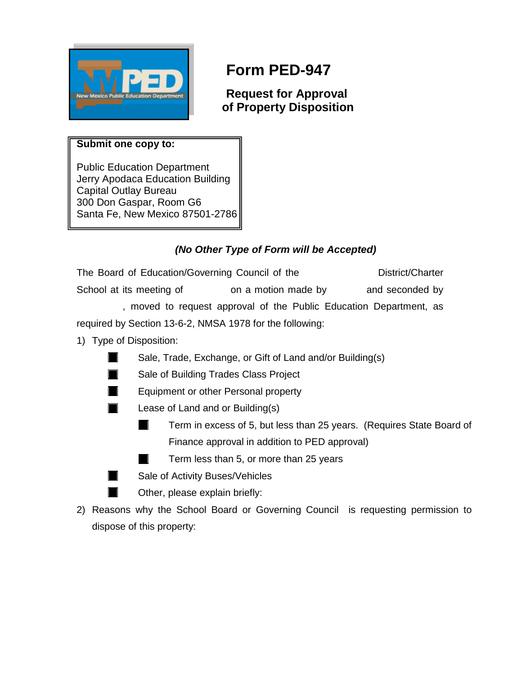

## **Form PED-947**

**Request for Approval of Property Disposition**

## **Submit one copy to:**

Public Education Department Jerry Apodaca Education Building Capital Outlay Bureau 300 Don Gaspar, Room G6 Santa Fe, New Mexico 87501-2786

## *(No Other Type of Form will be Accepted)*

The Board of Education/Governing Council of the District/Charter School at its meeting of on a motion made by and seconded by , moved to request approval of the Public Education Department, as required by Section 13-6-2, NMSA 1978 for the following:

1) Type of Disposition:

T

ш

M.

- Sale, Trade, Exchange, or Gift of Land and/or Building(s)
- Sale of Building Trades Class Project
- Equipment or other Personal property
- Lease of Land and or Building(s)
	- Term in excess of 5, but less than 25 years. (Requires State Board of l a l Finance approval in addition to PED approval)

Term less than 5, or more than 25 years

- Sale of Activity Buses/Vehicles
	- Other, please explain briefly:
- 2) Reasons why the School Board or Governing Council is requesting permission to dispose of this property: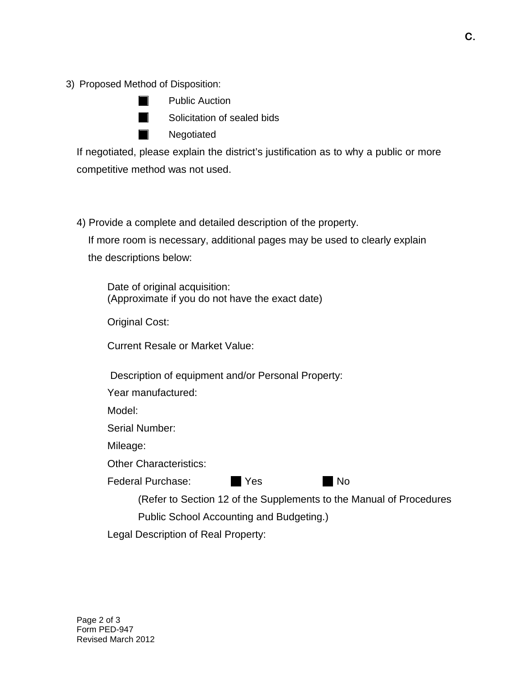3) Proposed Method of Disposition:

|                                                                                                                                                                                                                                      | <b>Public Auction</b>       |
|--------------------------------------------------------------------------------------------------------------------------------------------------------------------------------------------------------------------------------------|-----------------------------|
| <b>In the contract of the contract of the contract of the contract of the contract of the contract of the contract of the contract of the contract of the contract of the contract of the contract of the contract of the contra</b> | Solicitation of sealed bids |
| <b>In the first</b>                                                                                                                                                                                                                  | Negotiated                  |

If negotiated, please explain the district's justification as to why a public or more competitive method was not used.

4) Provide a complete and detailed description of the property.

 If more room is necessary, additional pages may be used to clearly explain the descriptions below:

Date of original acquisition: (Approximate if you do not have the exact date)

Original Cost:

Current Resale or Market Value:

Description of equipment and/or Personal Property:

Year manufactured:

Model:

Serial Number:

Mileage:

Other Characteristics:

Federal Purchase: No No No ■ Yes

> (Refer to Section 12 of the Supplements to the Manual of Procedures Public School Accounting and Budgeting.)

Legal Description of Real Property: